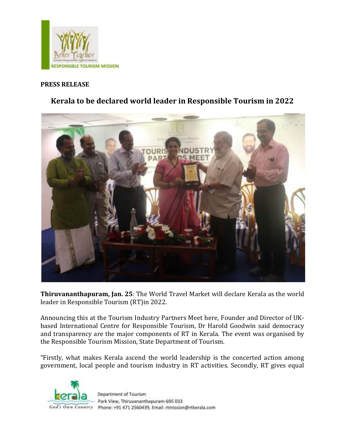

## **PRESS RELEASE**

## **Kerala to be declared world leader in Responsible Tourism in 2022**



**Thiruvananthapuram, Jan. 25**: The World Travel Market will declare Kerala as the world leader in Responsible Tourism (RT)in 2022.

Announcing this at the Tourism Industry Partners Meet here, Founder and Director of UKbased International Centre for Responsible Tourism, Dr Harold Goodwin said democracy and transparency are the major components of RT in Kerala. The event was organised by the Responsible Tourism Mission, State Department of Tourism.

"Firstly, what makes Kerala ascend the world leadership is the concerted action among government, local people and tourism industry in RT activities. Secondly, RT gives equal